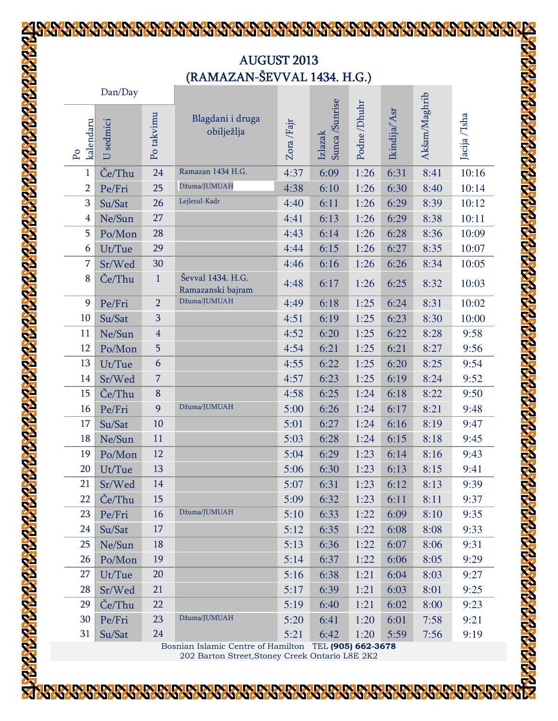## **AUGUST 2013** (RAMAZAN-ŠEVVAL 1434. H.G.)

**READERS** 

**SEXT** 

**ALAXIMATA TATALI ATALA** 

| Dan/Day                             |         |                         |                                        |            |                          |             |               |               |               |  |
|-------------------------------------|---------|-------------------------|----------------------------------------|------------|--------------------------|-------------|---------------|---------------|---------------|--|
| kalendaru<br>$\mathsf{P}\mathsf{o}$ | sedmici | Po takvimu              | Blagdani i druga<br>obilježlja         | Zora /Fajr | Sunca/Sunrise<br>Izlazak | Podne/Dhuhr | Ikindija/'Asr | Akšam/Maghrib | Jacija /'Isha |  |
| 1                                   | Če/Thu  | 24                      | Ramazan 1434 H.G.                      | 4:37       | 6:09                     | 1:26        | 6:31          | 8:41          | 10:16         |  |
| $\overline{2}$                      | Pe/Fri  | 25                      | Džuma/JUMUAH                           | 4:38       | 6:10                     | 1:26        | 6:30          | 8:40          | 10:14         |  |
| 3                                   | Su/Sat  | 26                      | Lejletul-Kadr                          | 4:40       | 6:11                     | 1:26        | 6:29          | 8:39          | 10:12         |  |
| $\overline{4}$                      | Ne/Sun  | 27                      |                                        | 4:41       | 6:13                     | 1:26        | 6:29          | 8:38          | 10:11         |  |
| 5                                   | Po/Mon  | 28                      |                                        | 4:43       | 6:14                     | 1:26        | 6:28          | 8:36          | 10:09         |  |
| 6                                   | Ut/Tue  | 29                      |                                        | 4:44       | 6:15                     | 1:26        | 6:27          | 8:35          | 10:07         |  |
| 7                                   | Sr/Wed  | 30                      |                                        | 4:46       | 6:16                     | 1:26        | 6:26          | 8:34          | 10:05         |  |
| 8                                   | Če/Thu  | $\mathbf{1}$            | Ševval 1434. H.G.<br>Ramazanski bajram | 4:48       | 6:17                     | 1:26        | 6:25          | 8:32          | 10:03         |  |
| 9                                   | Pe/Fri  | $\overline{2}$          | Džuma/JUMUAH                           | 4:49       | 6:18                     | 1:25        | 6:24          | 8:31          | 10:02         |  |
| 10                                  | Su/Sat  | 3                       |                                        | 4:51       | 6:19                     | 1:25        | 6:23          | 8:30          | 10:00         |  |
| 11                                  | Ne/Sun  | $\overline{\mathbf{4}}$ |                                        | 4:52       | 6:20                     | 1:25        | 6:22          | 8:28          | 9:58          |  |
| 12                                  | Po/Mon  | 5                       |                                        | 4:54       | 6:21                     | 1:25        | 6:21          | 8:27          | 9:56          |  |
| 13                                  | Ut/Tue  | 6                       |                                        | 4:55       | 6:22                     | 1:25        | 6:20          | 8:25          | 9:54          |  |
| 14                                  | Sr/Wed  | 7                       |                                        | 4:57       | 6:23                     | 1:25        | 6:19          | 8:24          | 9:52          |  |
| 15                                  | Če/Thu  | $\bf 8$                 |                                        | 4:58       | 6:25                     | 1:24        | 6:18          | 8:22          | 9:50          |  |
| 16                                  | Pe/Fri  | 9                       | Džuma/JUMUAH                           | 5:00       | 6:26                     | 1:24        | 6:17          | 8:21          | 9:48          |  |
| 17                                  | Su/Sat  | 10                      |                                        | 5:01       | 6:27                     | 1:24        | 6:16          | 8:19          | 9:47          |  |
| 18                                  | Ne/Sun  | 11                      |                                        | 5:03       | 6:28                     | 1:24        | 6:15          | 8:18          | 9:45          |  |
| 19                                  | Po/Mon  | 12                      |                                        | 5:04       | 6:29                     | 1:23        | 6:14          | 8:16          | 9:43          |  |
| 20                                  | Ut/Tue  | 13                      |                                        | 5:06       | 6:30                     | 1:23        | 6:13          | 8:15          | 9:41          |  |
| 21                                  | Sr/Wed  | 14                      |                                        | 5:07       | 6:31                     | 1:23        | 6:12          | 8:13          | 9:39          |  |
| 22                                  | Če/Thu  | 15                      |                                        | 5:09       | 6:32                     | 1:23        | 6:11          | 8:11          | 9:37          |  |
| 23                                  | Pe/Fri  | 16                      | Džuma/JUMUAH                           | 5:10       | 6:33                     | 1:22        | 6:09          | 8:10          | 9:35          |  |
| 24                                  | Su/Sat  | 17                      |                                        | 5:12       | 6:35                     | 1:22        | 6:08          | 8:08          | 9:33          |  |
| 25                                  | Ne/Sun  | 18                      |                                        | 5:13       | 6:36                     | 1:22        | 6:07          | 8:06          | 9:31          |  |
| 26                                  | Po/Mon  | 19                      |                                        | 5:14       | 6:37                     | 1:22        | 6:06          | 8:05          | 9:29          |  |
| 27                                  | Ut/Tue  | 20                      |                                        | 5:16       | 6:38                     | 1:21        | 6:04          | 8:03          | 9:27          |  |
| 28                                  | Sr/Wed  | 21                      |                                        | 5:17       | 6:39                     | 1:21        | 6:03          | 8:01          | 9:25          |  |
| 29                                  | Če/Thu  | 22                      |                                        | 5:19       | 6:40                     | 1:21        | 6:02          | 8:00          | 9:23          |  |
| 30                                  | Pe/Fri  | 23                      | Džuma/JUMUAH                           | 5:20       | 6:41                     | 1:20        | 6:01          | 7:58          | 9:21          |  |
| 31                                  | Su/Sat  | 24                      |                                        | 5:21       | 6:42                     | 1:20        | 5:59          | 7:56          | 9:19          |  |

Bosnian Islamic Centre of Hamilton TEL (905) 662-3678 202 Barton Street,Stoney Creek Ontario L8E 2K2

K

K

**RARARARARAR** 

**ARRIVAR** 

外